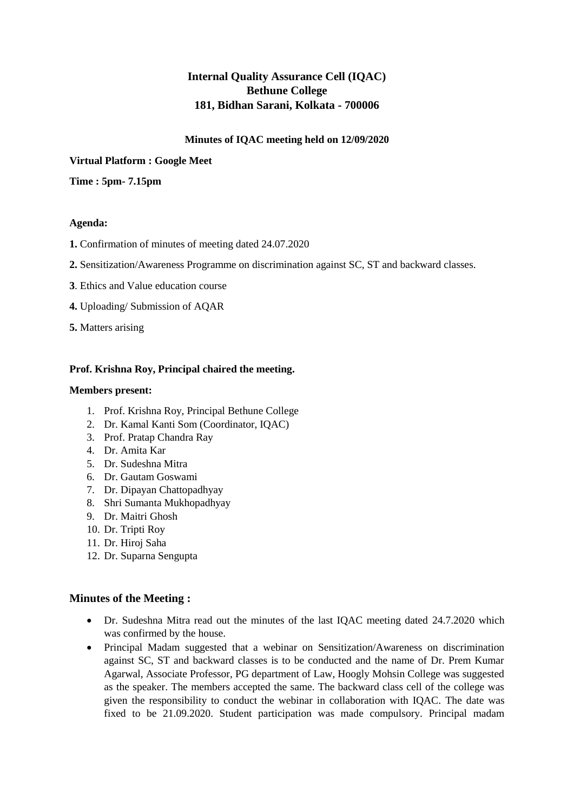# **Internal Quality Assurance Cell (IQAC) Bethune College 181, Bidhan Sarani, Kolkata - 700006**

# **Minutes of IQAC meeting held on 12/09/2020**

**Virtual Platform : Google Meet**

**Time : 5pm- 7.15pm**

## **Agenda:**

- **1.** Confirmation of minutes of meeting dated 24.07.2020
- **2.** Sensitization/Awareness Programme on discrimination against SC, ST and backward classes.
- **3**. Ethics and Value education course
- **4.** Uploading/ Submission of AQAR
- **5.** Matters arising

# **Prof. Krishna Roy, Principal chaired the meeting.**

#### **Members present:**

- 1. Prof. Krishna Roy, Principal Bethune College
- 2. Dr. Kamal Kanti Som (Coordinator, IQAC)
- 3. Prof. Pratap Chandra Ray
- 4. Dr. Amita Kar
- 5. Dr. Sudeshna Mitra
- 6. Dr. Gautam Goswami
- 7. Dr. Dipayan Chattopadhyay
- 8. Shri Sumanta Mukhopadhyay
- 9. Dr. Maitri Ghosh
- 10. Dr. Tripti Roy
- 11. Dr. Hiroj Saha
- 12. Dr. Suparna Sengupta

## **Minutes of the Meeting :**

- Dr. Sudeshna Mitra read out the minutes of the last IQAC meeting dated 24.7.2020 which was confirmed by the house.
- Principal Madam suggested that a webinar on Sensitization/Awareness on discrimination against SC, ST and backward classes is to be conducted and the name of Dr. Prem Kumar Agarwal, Associate Professor, PG department of Law, Hoogly Mohsin College was suggested as the speaker. The members accepted the same. The backward class cell of the college was given the responsibility to conduct the webinar in collaboration with IQAC. The date was fixed to be 21.09.2020. Student participation was made compulsory. Principal madam